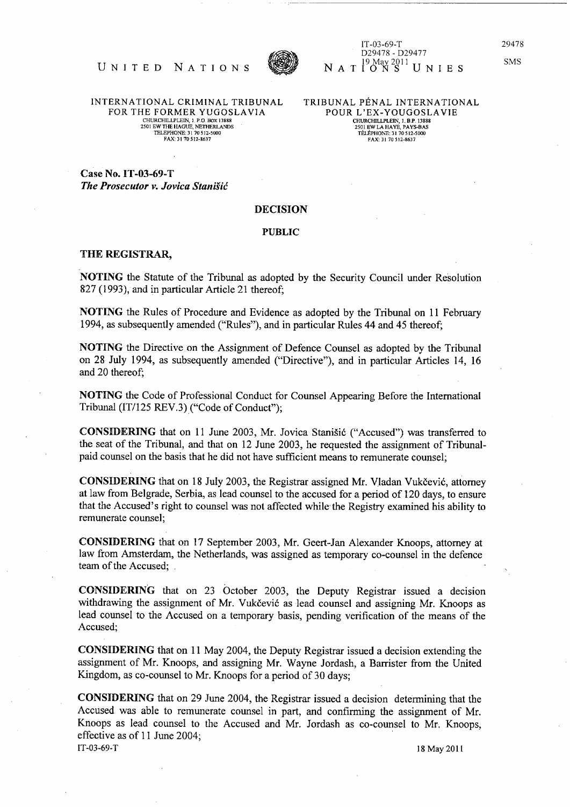

IT-03-69-T 029478 - D29477 N A T  $19$  May 2011 U N I E S 29478

SMS

UNITED NATIONS FOR THE FORMER YUGOSLAVIA 2501 EW THE HAGUE, NETHERLANDS TELEPHONE: 31 70 512-5000 FAX: 31 70 512-8637

TRIBUNAL PÉNAL INTERNATIONAL POUR L'EX-YOUGOSLAVIE CHURCHILLPLEIN. I. RP. 13888 2501 EWLAHAYE. PAYS-SAS TELEPHONE: 31 70512-5000 FAX: 31 70 512-8637

Case No. IT-03-69-T *The Prosecutor v. Jovica StaniSic* 

## DECISION

## PUBLIC

## THE REGISTRAR,

NOTING the Statute of the Tribunal as adopted by the Security Council under Resolution 827 (1993), and in particular Article 21 thereof;

NOTING the Rules of Procedure and Evidence as adopted by the Tribunal on 11 February 1994, as subsequently amended ("Rules"), and in particular Rules 44 and 45 thereof;

NOTING the Directive on the Assignment of Defence Counsel as adopted by the Tribunal on 28 July 1994, as subsequently amended ("Directive"), and in particular Articles 14, 16 and 20 thereof;

NOTING the Code of Professional Conduct for Counsel Appearing Before the International Tribunal (IT/125 REV.3) ("Code of Conduct");

CONSIDERING that on 11 June 2003, Mr. Jovica Stanisi6 ("Accused") was transferred to the seat of the Tribunal, and that on 12 June 2003, he requested the assignment of Tribunalpaid counsel on the basis that he did not have sufficient means to remunerate counsel;

CONSIDERING that on 18 July 2003, the Registrar assigned Mr. Vladan Vukčević, attorney at law from Belgrade, Serbia, as lead counsel to the accused for a period of 120 days, to ensure that the Accused's right to counsel was not affected while the Registry examined his ability to remunerate counsel;

CONSIDERING that on 17 September 2003, Mr. Geert-Jan Alexander Knoops, attorney at law from Amsterdam, the Netherlands, was assigned as temporary co-counsel in the defence team of the Accused;

CONSIDERING that on 23 October 2003, the Deputy Registrar issued a decision withdrawing the assignment of Mr. Vukčević as lead counsel and assigning Mr. Knoops as lead counsel to the Accused on a temporary basis, pending verification of the means of the Accused;

CONSIDERING that on 11 May 2004, the Deputy Registrar issued a decision extending the assignment of Mr. Knoops, and assigning Mr. Wayne Jordash, a Barrister from the United Kingdom, as co-counsel to Mr. Knoops for a period of 30 days;

CONSIDERING that on 29 June 2004, the Registrar issued a decision determining that the Accused was able to remunerate counsel in part, and confirming the assignment of Mr. Knoops as lead counsel to the Accused and Mr. Jordash as co-counsel to Mr. Knoops, effective as of 11 June 2004; IT -03-69-T 18 May 20 1l